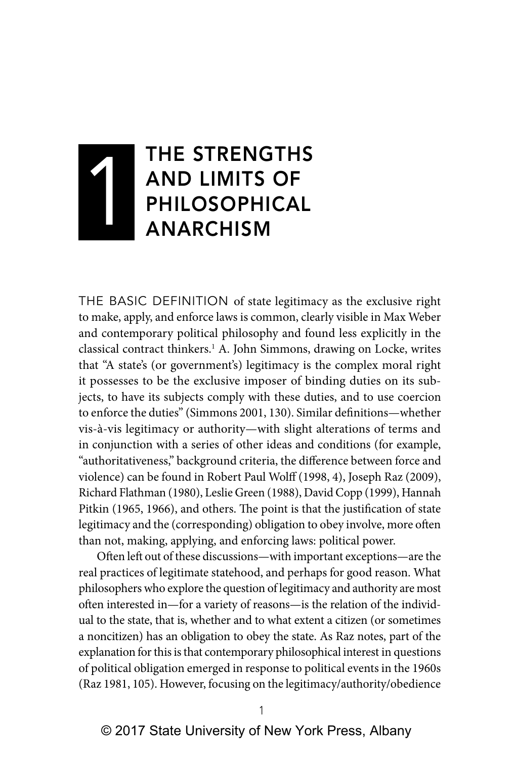# THE STRENGTHS<br>AND LIMITS OF<br>PHILOSOPHICAL<br>ANARCHISM AND LIMITS OF PHILOSOPHICAL ANARCHISM

THE BASIC DEFINITION of state legitimacy as the exclusive right to make, apply, and enforce laws is common, clearly visible in Max Weber and contemporary political philosophy and found less explicitly in the classical contract thinkers.<sup>1</sup> A. John Simmons, drawing on Locke, writes that "A state's (or government's) legitimacy is the complex moral right it possesses to be the exclusive imposer of binding duties on its subjects, to have its subjects comply with these duties, and to use coercion to enforce the duties" (Simmons 2001, 130). Similar definitions—whether vis-à-vis legitimacy or authority—with slight alterations of terms and in conjunction with a series of other ideas and conditions (for example, "authoritativeness," background criteria, the difference between force and violence) can be found in Robert Paul Wolff (1998, 4), Joseph Raz (2009), Richard Flathman (1980), Leslie Green (1988), David Copp (1999), Hannah Pitkin (1965, 1966), and others. The point is that the justification of state legitimacy and the (corresponding) obligation to obey involve, more often than not, making, applying, and enforcing laws: political power.

Often left out of these discussions—with important exceptions—are the real practices of legitimate statehood, and perhaps for good reason. What philosophers who explore the question of legitimacy and authority are most often interested in—for a variety of reasons—is the relation of the individual to the state, that is, whether and to what extent a citizen (or sometimes a noncitizen) has an obligation to obey the state. As Raz notes, part of the explanation for this is that contemporary philosophical interest in questions of political obligation emerged in response to political events in the 1960s (Raz 1981, 105). However, focusing on the legitimacy/authority/obedience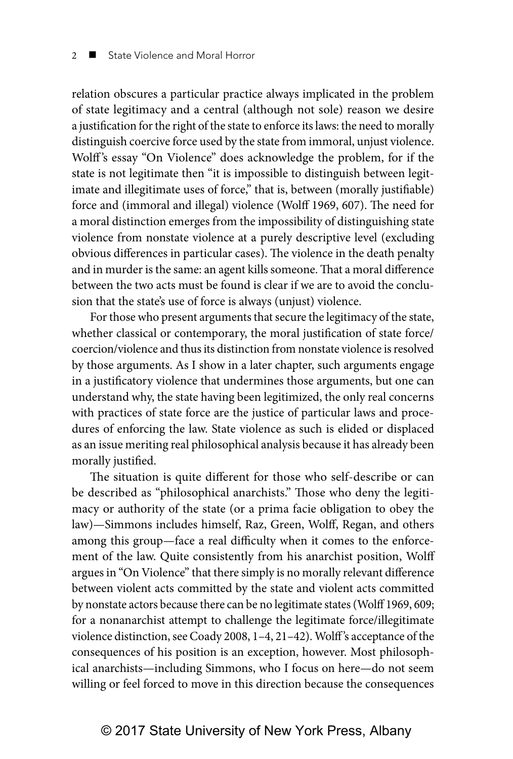#### 2 ■ State Violence and Moral Horror

relation obscures a particular practice always implicated in the problem of state legitimacy and a central (although not sole) reason we desire a justification for the right of the state to enforce its laws: the need to morally distinguish coercive force used by the state from immoral, unjust violence. Wolff's essay "On Violence" does acknowledge the problem, for if the state is not legitimate then "it is impossible to distinguish between legitimate and illegitimate uses of force," that is, between (morally justifiable) force and (immoral and illegal) violence (Wolff 1969, 607). The need for a moral distinction emerges from the impossibility of distinguishing state violence from nonstate violence at a purely descriptive level (excluding obvious differences in particular cases). The violence in the death penalty and in murder is the same: an agent kills someone. That a moral difference between the two acts must be found is clear if we are to avoid the conclusion that the state's use of force is always (unjust) violence.

For those who present arguments that secure the legitimacy of the state, whether classical or contemporary, the moral justification of state force/ coercion/violence and thus its distinction from nonstate violence is resolved by those arguments. As I show in a later chapter, such arguments engage in a justificatory violence that undermines those arguments, but one can understand why, the state having been legitimized, the only real concerns with practices of state force are the justice of particular laws and procedures of enforcing the law. State violence as such is elided or displaced as an issue meriting real philosophical analysis because it has already been morally justified.

The situation is quite different for those who self-describe or can be described as "philosophical anarchists." Those who deny the legitimacy or authority of the state (or a prima facie obligation to obey the law)—Simmons includes himself, Raz, Green, Wolff, Regan, and others among this group—face a real difficulty when it comes to the enforcement of the law. Quite consistently from his anarchist position, Wolff argues in "On Violence" that there simply is no morally relevant difference between violent acts committed by the state and violent acts committed by nonstate actors because there can be no legitimate states (Wolff 1969, 609; for a nonanarchist attempt to challenge the legitimate force/illegitimate violence distinction, see Coady 2008, 1–4, 21–42). Wolff 's acceptance of the consequences of his position is an exception, however. Most philosophical anarchists—including Simmons, who I focus on here—do not seem willing or feel forced to move in this direction because the consequences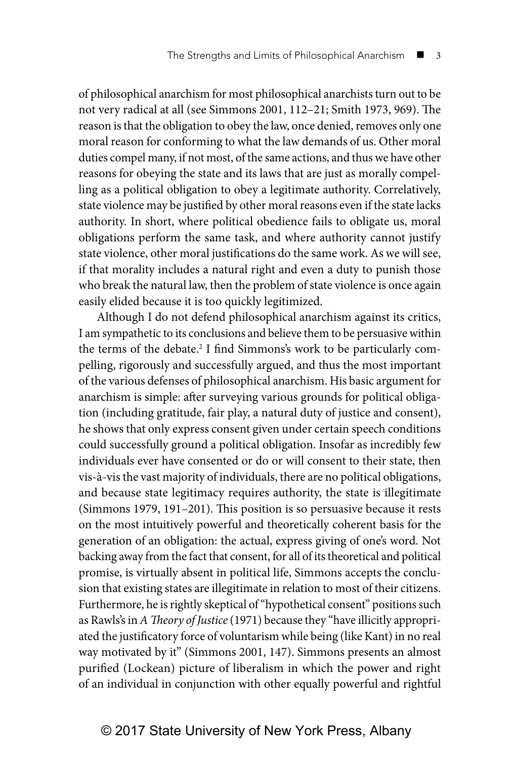of philosophical anarchism for most philosophical anarchists turn out to be not very radical at all (see Simmons 2001, 112–21; Smith 1973, 969). The reason is that the obligation to obey the law, once denied, removes only one moral reason for conforming to what the law demands of us. Other moral duties compel many, if not most, of the same actions, and thus we have other reasons for obeying the state and its laws that are just as morally compelling as a political obligation to obey a legitimate authority. Correlatively, state violence may be justified by other moral reasons even if the state lacks authority. In short, where political obedience fails to obligate us, moral obligations perform the same task, and where authority cannot justify state violence, other moral justifications do the same work. As we will see, if that morality includes a natural right and even a duty to punish those who break the natural law, then the problem of state violence is once again easily elided because it is too quickly legitimized.

Although I do not defend philosophical anarchism against its critics, I am sympathetic to its conclusions and believe them to be persuasive within the terms of the debate.<sup>2</sup> I find Simmons's work to be particularly compelling, rigorously and successfully argued, and thus the most important of the various defenses of philosophical anarchism. His basic argument for anarchism is simple: after surveying various grounds for political obligation (including gratitude, fair play, a natural duty of justice and consent), he shows that only express consent given under certain speech conditions could successfully ground a political obligation. Insofar as incredibly few individuals ever have consented or do or will consent to their state, then vis-à-vis the vast majority of individuals, there are no political obligations, and because state legitimacy requires authority, the state is illegitimate (Simmons 1979, 191–201). This position is so persuasive because it rests on the most intuitively powerful and theoretically coherent basis for the generation of an obligation: the actual, express giving of one's word. Not backing away from the fact that consent, for all of its theoretical and political promise, is virtually absent in political life, Simmons accepts the conclusion that existing states are illegitimate in relation to most of their citizens. Furthermore, he is rightly skeptical of "hypothetical consent" positions such as Rawls's in A Theory of Justice (1971) because they "have illicitly appropriated the justificatory force of voluntarism while being (like Kant) in no real way motivated by it" (Simmons 2001, 147). Simmons presents an almost purified (Lockean) picture of liberalism in which the power and right of an individual in conjunction with other equally powerful and rightful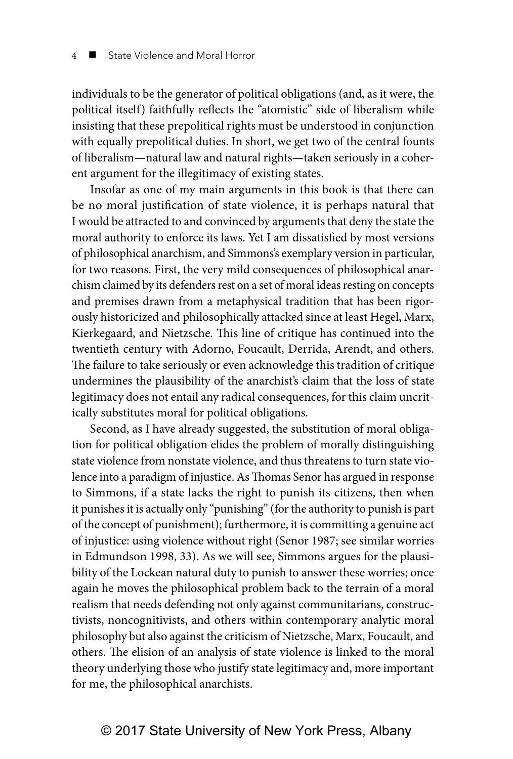individuals to be the generator of political obligations (and, as it were, the political itself) faithfully reflects the "atomistic" side of liberalism while insisting that these prepolitical rights must be understood in conjunction with equally prepolitical duties. In short, we get two of the central founts of liberalism—natural law and natural rights—taken seriously in a coherent argument for the illegitimacy of existing states.

Insofar as one of my main arguments in this book is that there can be no moral justification of state violence, it is perhaps natural that I would be attracted to and convinced by arguments that deny the state the moral authority to enforce its laws. Yet I am dissatisfied by most versions of philosophical anarchism, and Simmons's exemplary version in particular, for two reasons. First, the very mild consequences of philosophical anarchism claimed by its defenders rest on a set of moral ideas resting on concepts and premises drawn from a metaphysical tradition that has been rigorously historicized and philosophically attacked since at least Hegel, Marx, Kierkegaard, and Nietzsche. This line of critique has continued into the twentieth century with Adorno, Foucault, Derrida, Arendt, and others. The failure to take seriously or even acknowledge this tradition of critique undermines the plausibility of the anarchist's claim that the loss of state legitimacy does not entail any radical consequences, for this claim uncritically substitutes moral for political obligations.

Second, as I have already suggested, the substitution of moral obligation for political obligation elides the problem of morally distinguishing state violence from nonstate violence, and thus threatens to turn state violence into a paradigm of injustice. As Thomas Senor has argued in response to Simmons, if a state lacks the right to punish its citizens, then when it punishes it is actually only "punishing" (for the authority to punish is part of the concept of punishment); furthermore, it is committing a genuine act of injustice: using violence without right (Senor 1987; see similar worries in Edmundson 1998, 33). As we will see, Simmons argues for the plausibility of the Lockean natural duty to punish to answer these worries; once again he moves the philosophical problem back to the terrain of a moral realism that needs defending not only against communitarians, constructivists, noncognitivists, and others within contemporary analytic moral philosophy but also against the criticism of Nietzsche, Marx, Foucault, and others. The elision of an analysis of state violence is linked to the moral theory underlying those who justify state legitimacy and, more important for me, the philosophical anarchists.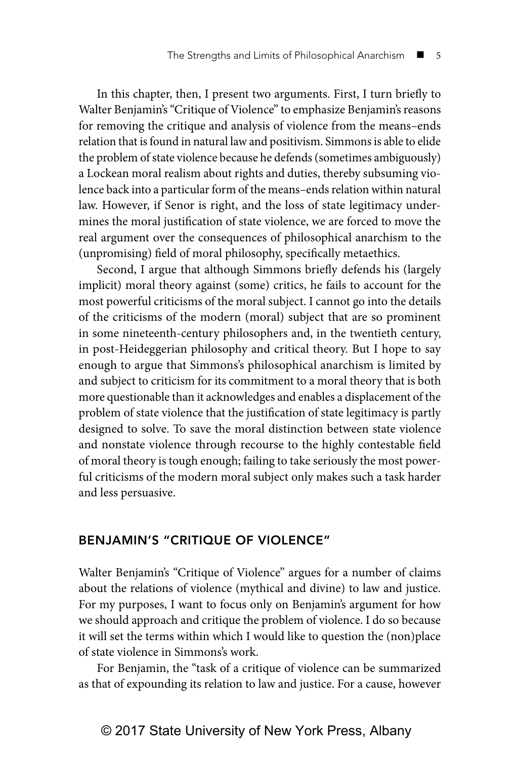In this chapter, then, I present two arguments. First, I turn briefly to Walter Benjamin's "Critique of Violence" to emphasize Benjamin's reasons for removing the critique and analysis of violence from the means–ends relation that is found in natural law and positivism. Simmons is able to elide the problem of state violence because he defends (sometimes ambiguously) a Lockean moral realism about rights and duties, thereby subsuming violence back into a particular form of the means–ends relation within natural law. However, if Senor is right, and the loss of state legitimacy undermines the moral justification of state violence, we are forced to move the real argument over the consequences of philosophical anarchism to the (unpromising) field of moral philosophy, specifically metaethics.

Second, I argue that although Simmons briefly defends his (largely implicit) moral theory against (some) critics, he fails to account for the most powerful criticisms of the moral subject. I cannot go into the details of the criticisms of the modern (moral) subject that are so prominent in some nineteenth-century philosophers and, in the twentieth century, in post-Heideggerian philosophy and critical theory. But I hope to say enough to argue that Simmons's philosophical anarchism is limited by and subject to criticism for its commitment to a moral theory that is both more questionable than it acknowledges and enables a displacement of the problem of state violence that the justification of state legitimacy is partly designed to solve. To save the moral distinction between state violence and nonstate violence through recourse to the highly contestable field of moral theory is tough enough; failing to take seriously the most powerful criticisms of the modern moral subject only makes such a task harder and less persuasive.

#### BENJAMIN'S "CRITIQUE OF VIOLENCE"

Walter Benjamin's "Critique of Violence" argues for a number of claims about the relations of violence (mythical and divine) to law and justice. For my purposes, I want to focus only on Benjamin's argument for how we should approach and critique the problem of violence. I do so because it will set the terms within which I would like to question the (non)place of state violence in Simmons's work.

For Benjamin, the "task of a critique of violence can be summarized as that of expounding its relation to law and justice. For a cause, however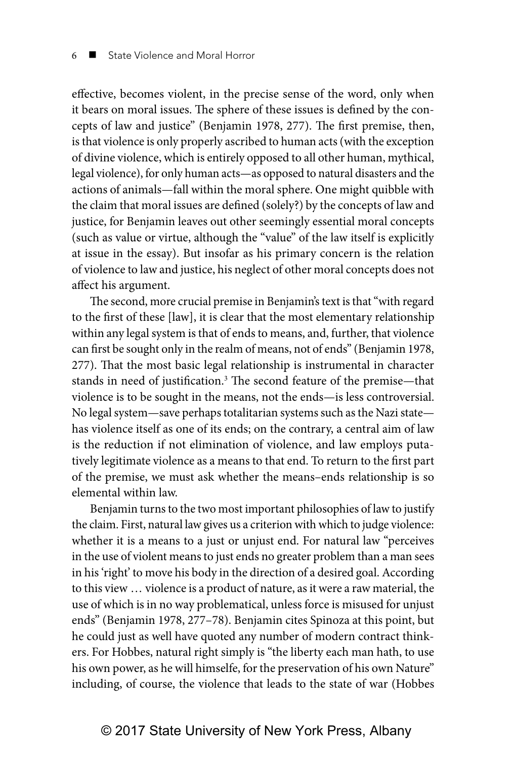effective, becomes violent, in the precise sense of the word, only when it bears on moral issues. The sphere of these issues is defined by the concepts of law and justice" (Benjamin 1978, 277). The first premise, then, is that violence is only properly ascribed to human acts (with the exception of divine violence, which is entirely opposed to all other human, mythical, legal violence), for only human acts—as opposed to natural disasters and the actions of animals—fall within the moral sphere. One might quibble with the claim that moral issues are defined (solely?) by the concepts of law and justice, for Benjamin leaves out other seemingly essential moral concepts (such as value or virtue, although the "value" of the law itself is explicitly at issue in the essay). But insofar as his primary concern is the relation of violence to law and justice, his neglect of other moral concepts does not affect his argument.

The second, more crucial premise in Benjamin's text is that "with regard to the first of these [law], it is clear that the most elementary relationship within any legal system is that of ends to means, and, further, that violence can first be sought only in the realm of means, not of ends" (Benjamin 1978, 277). That the most basic legal relationship is instrumental in character stands in need of justification.<sup>3</sup> The second feature of the premise—that violence is to be sought in the means, not the ends—is less controversial. No legal system—save perhaps totalitarian systems such as the Nazi state has violence itself as one of its ends; on the contrary, a central aim of law is the reduction if not elimination of violence, and law employs putatively legitimate violence as a means to that end. To return to the first part of the premise, we must ask whether the means–ends relationship is so elemental within law.

Benjamin turns to the two most important philosophies of law to justify the claim. First, natural law gives us a criterion with which to judge violence: whether it is a means to a just or unjust end. For natural law "perceives in the use of violent means to just ends no greater problem than a man sees in his 'right' to move his body in the direction of a desired goal. According to this view … violence is a product of nature, as it were a raw material, the use of which is in no way problematical, unless force is misused for unjust ends" (Benjamin 1978, 277–78). Benjamin cites Spinoza at this point, but he could just as well have quoted any number of modern contract thinkers. For Hobbes, natural right simply is "the liberty each man hath, to use his own power, as he will himselfe, for the preservation of his own Nature" including, of course, the violence that leads to the state of war (Hobbes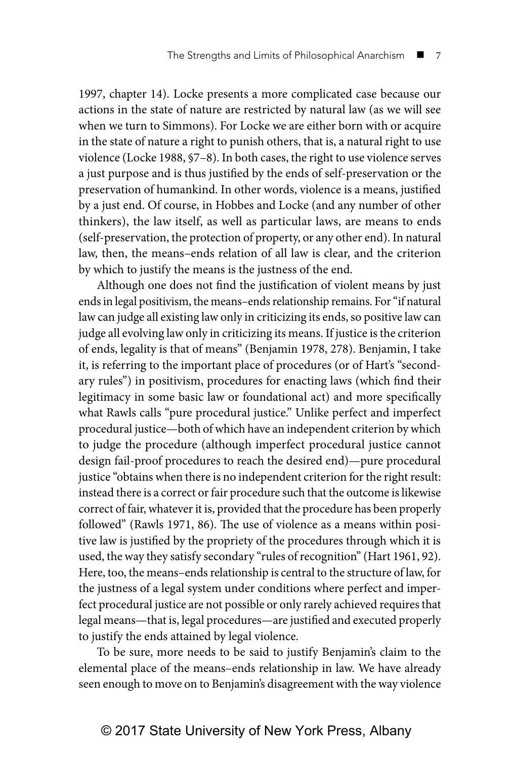1997, chapter 14). Locke presents a more complicated case because our actions in the state of nature are restricted by natural law (as we will see when we turn to Simmons). For Locke we are either born with or acquire in the state of nature a right to punish others, that is, a natural right to use violence (Locke 1988, §7–8). In both cases, the right to use violence serves a just purpose and is thus justified by the ends of self-preservation or the preservation of humankind. In other words, violence is a means, justified by a just end. Of course, in Hobbes and Locke (and any number of other thinkers), the law itself, as well as particular laws, are means to ends (self-preservation, the protection of property, or any other end). In natural law, then, the means–ends relation of all law is clear, and the criterion by which to justify the means is the justness of the end.

Although one does not find the justification of violent means by just ends in legal positivism, the means–ends relationship remains. For "if natural law can judge all existing law only in criticizing its ends, so positive law can judge all evolving law only in criticizing its means. If justice is the criterion of ends, legality is that of means" (Benjamin 1978, 278). Benjamin, I take it, is referring to the important place of procedures (or of Hart's "secondary rules") in positivism, procedures for enacting laws (which find their legitimacy in some basic law or foundational act) and more specifically what Rawls calls "pure procedural justice." Unlike perfect and imperfect procedural justice—both of which have an independent criterion by which to judge the procedure (although imperfect procedural justice cannot design fail-proof procedures to reach the desired end)—pure procedural justice "obtains when there is no independent criterion for the right result: instead there is a correct or fair procedure such that the outcome is likewise correct of fair, whatever it is, provided that the procedure has been properly followed" (Rawls 1971, 86). The use of violence as a means within positive law is justified by the propriety of the procedures through which it is used, the way they satisfy secondary "rules of recognition" (Hart 1961, 92). Here, too, the means–ends relationship is central to the structure of law, for the justness of a legal system under conditions where perfect and imperfect procedural justice are not possible or only rarely achieved requires that legal means—that is, legal procedures—are justified and executed properly to justify the ends attained by legal violence.

To be sure, more needs to be said to justify Benjamin's claim to the elemental place of the means–ends relationship in law. We have already seen enough to move on to Benjamin's disagreement with the way violence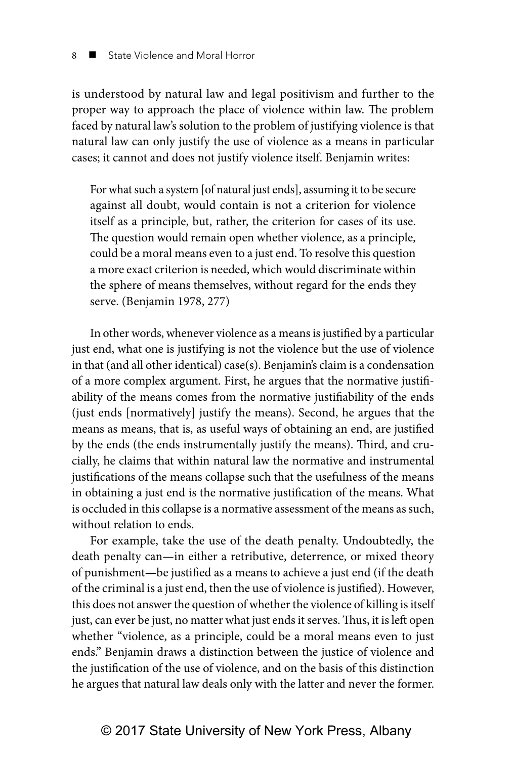is understood by natural law and legal positivism and further to the proper way to approach the place of violence within law. The problem faced by natural law's solution to the problem of justifying violence is that natural law can only justify the use of violence as a means in particular cases; it cannot and does not justify violence itself. Benjamin writes:

For what such a system [of natural just ends], assuming it to be secure against all doubt, would contain is not a criterion for violence itself as a principle, but, rather, the criterion for cases of its use. The question would remain open whether violence, as a principle, could be a moral means even to a just end. To resolve this question a more exact criterion is needed, which would discriminate within the sphere of means themselves, without regard for the ends they serve. (Benjamin 1978, 277)

In other words, whenever violence as a means is justified by a particular just end, what one is justifying is not the violence but the use of violence in that (and all other identical) case(s). Benjamin's claim is a condensation of a more complex argument. First, he argues that the normative justifiability of the means comes from the normative justifiability of the ends (just ends [normatively] justify the means). Second, he argues that the means as means, that is, as useful ways of obtaining an end, are justified by the ends (the ends instrumentally justify the means). Third, and crucially, he claims that within natural law the normative and instrumental justifications of the means collapse such that the usefulness of the means in obtaining a just end is the normative justification of the means. What is occluded in this collapse is a normative assessment of the means as such, without relation to ends.

For example, take the use of the death penalty. Undoubtedly, the death penalty can—in either a retributive, deterrence, or mixed theory of punishment—be justified as a means to achieve a just end (if the death of the criminal is a just end, then the use of violence is justified). However, this does not answer the question of whether the violence of killing is itself just, can ever be just, no matter what just ends it serves. Thus, it is left open whether "violence, as a principle, could be a moral means even to just ends." Benjamin draws a distinction between the justice of violence and the justification of the use of violence, and on the basis of this distinction he argues that natural law deals only with the latter and never the former.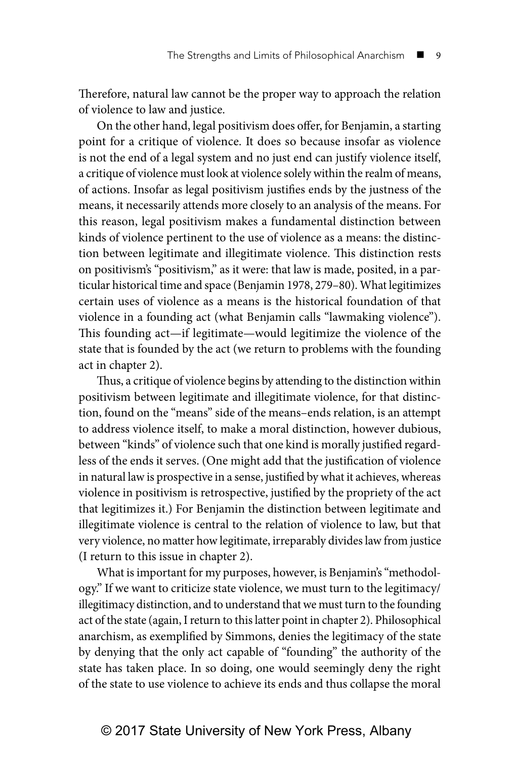Therefore, natural law cannot be the proper way to approach the relation of violence to law and justice.

On the other hand, legal positivism does offer, for Benjamin, a starting point for a critique of violence. It does so because insofar as violence is not the end of a legal system and no just end can justify violence itself, a critique of violence must look at violence solely within the realm of means, of actions. Insofar as legal positivism justifies ends by the justness of the means, it necessarily attends more closely to an analysis of the means. For this reason, legal positivism makes a fundamental distinction between kinds of violence pertinent to the use of violence as a means: the distinction between legitimate and illegitimate violence. This distinction rests on positivism's "positivism," as it were: that law is made, posited, in a particular historical time and space (Benjamin 1978, 279–80). What legitimizes certain uses of violence as a means is the historical foundation of that violence in a founding act (what Benjamin calls "lawmaking violence"). This founding act—if legitimate—would legitimize the violence of the state that is founded by the act (we return to problems with the founding act in chapter 2).

Thus, a critique of violence begins by attending to the distinction within positivism between legitimate and illegitimate violence, for that distinction, found on the "means" side of the means–ends relation, is an attempt to address violence itself, to make a moral distinction, however dubious, between "kinds" of violence such that one kind is morally justified regardless of the ends it serves. (One might add that the justification of violence in natural law is prospective in a sense, justified by what it achieves, whereas violence in positivism is retrospective, justified by the propriety of the act that legitimizes it.) For Benjamin the distinction between legitimate and illegitimate violence is central to the relation of violence to law, but that very violence, no matter how legitimate, irreparably divides law from justice (I return to this issue in chapter 2).

What is important for my purposes, however, is Benjamin's "methodology." If we want to criticize state violence, we must turn to the legitimacy/ illegitimacy distinction, and to understand that we must turn to the founding act of the state (again, I return to this latter point in chapter 2). Philosophical anarchism, as exemplified by Simmons, denies the legitimacy of the state by denying that the only act capable of "founding" the authority of the state has taken place. In so doing, one would seemingly deny the right of the state to use violence to achieve its ends and thus collapse the moral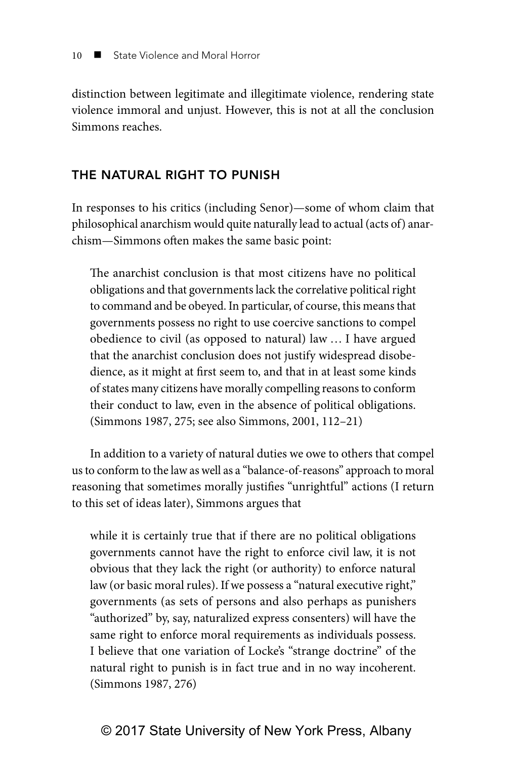distinction between legitimate and illegitimate violence, rendering state violence immoral and unjust. However, this is not at all the conclusion Simmons reaches.

#### THE NATURAL RIGHT TO PUNISH

In responses to his critics (including Senor)—some of whom claim that philosophical anarchism would quite naturally lead to actual (acts of) anarchism—Simmons often makes the same basic point:

The anarchist conclusion is that most citizens have no political obligations and that governments lack the correlative political right to command and be obeyed. In particular, of course, this means that governments possess no right to use coercive sanctions to compel obedience to civil (as opposed to natural) law … I have argued that the anarchist conclusion does not justify widespread disobedience, as it might at first seem to, and that in at least some kinds of states many citizens have morally compelling reasons to conform their conduct to law, even in the absence of political obligations. (Simmons 1987, 275; see also Simmons, 2001, 112–21)

In addition to a variety of natural duties we owe to others that compel us to conform to the law as well as a "balance-of-reasons" approach to moral reasoning that sometimes morally justifies "unrightful" actions (I return to this set of ideas later), Simmons argues that

while it is certainly true that if there are no political obligations governments cannot have the right to enforce civil law, it is not obvious that they lack the right (or authority) to enforce natural law (or basic moral rules). If we possess a "natural executive right," governments (as sets of persons and also perhaps as punishers "authorized" by, say, naturalized express consenters) will have the same right to enforce moral requirements as individuals possess. I believe that one variation of Locke's "strange doctrine" of the natural right to punish is in fact true and in no way incoherent. (Simmons 1987, 276)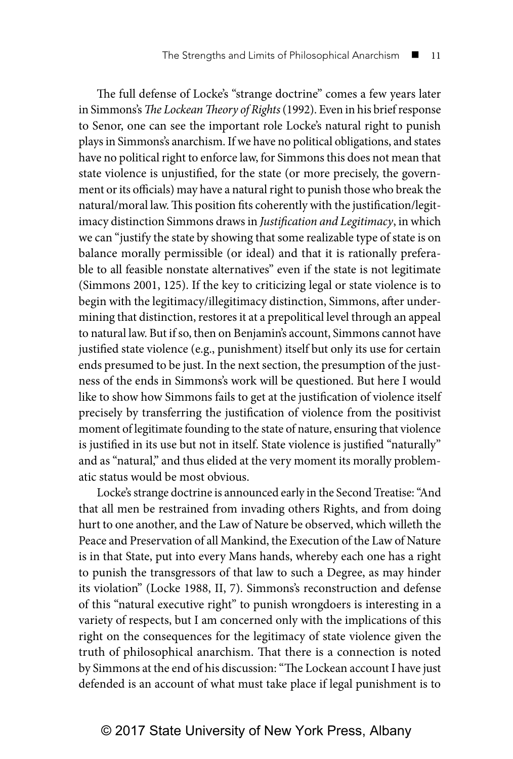The full defense of Locke's "strange doctrine" comes a few years later in Simmons's The Lockean Theory of Rights (1992). Even in his brief response to Senor, one can see the important role Locke's natural right to punish plays in Simmons's anarchism. If we have no political obligations, and states have no political right to enforce law, for Simmons this does not mean that state violence is unjustified, for the state (or more precisely, the government or its officials) may have a natural right to punish those who break the natural/moral law. This position fits coherently with the justification/legitimacy distinction Simmons draws in Justification and Legitimacy, in which we can "justify the state by showing that some realizable type of state is on balance morally permissible (or ideal) and that it is rationally preferable to all feasible nonstate alternatives" even if the state is not legitimate (Simmons 2001, 125). If the key to criticizing legal or state violence is to begin with the legitimacy/illegitimacy distinction, Simmons, after undermining that distinction, restores it at a prepolitical level through an appeal to natural law. But if so, then on Benjamin's account, Simmons cannot have justified state violence (e.g., punishment) itself but only its use for certain ends presumed to be just. In the next section, the presumption of the justness of the ends in Simmons's work will be questioned. But here I would like to show how Simmons fails to get at the justification of violence itself precisely by transferring the justification of violence from the positivist moment of legitimate founding to the state of nature, ensuring that violence is justified in its use but not in itself. State violence is justified "naturally" and as "natural," and thus elided at the very moment its morally problematic status would be most obvious.

Locke's strange doctrine is announced early in the Second Treatise: "And that all men be restrained from invading others Rights, and from doing hurt to one another, and the Law of Nature be observed, which willeth the Peace and Preservation of all Mankind, the Execution of the Law of Nature is in that State, put into every Mans hands, whereby each one has a right to punish the transgressors of that law to such a Degree, as may hinder its violation" (Locke 1988, II, 7). Simmons's reconstruction and defense of this "natural executive right" to punish wrongdoers is interesting in a variety of respects, but I am concerned only with the implications of this right on the consequences for the legitimacy of state violence given the truth of philosophical anarchism. That there is a connection is noted by Simmons at the end of his discussion: "The Lockean account I have just defended is an account of what must take place if legal punishment is to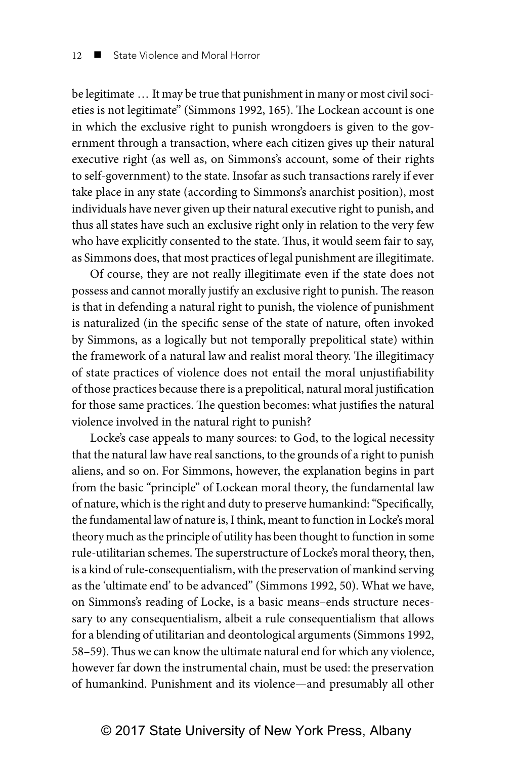be legitimate … It may be true that punishment in many or most civil societies is not legitimate" (Simmons 1992, 165). The Lockean account is one in which the exclusive right to punish wrongdoers is given to the government through a transaction, where each citizen gives up their natural executive right (as well as, on Simmons's account, some of their rights to self-government) to the state. Insofar as such transactions rarely if ever take place in any state (according to Simmons's anarchist position), most individuals have never given up their natural executive right to punish, and thus all states have such an exclusive right only in relation to the very few who have explicitly consented to the state. Thus, it would seem fair to say, as Simmons does, that most practices of legal punishment are illegitimate.

Of course, they are not really illegitimate even if the state does not possess and cannot morally justify an exclusive right to punish. The reason is that in defending a natural right to punish, the violence of punishment is naturalized (in the specific sense of the state of nature, often invoked by Simmons, as a logically but not temporally prepolitical state) within the framework of a natural law and realist moral theory. The illegitimacy of state practices of violence does not entail the moral unjustifiability of those practices because there is a prepolitical, natural moral justification for those same practices. The question becomes: what justifies the natural violence involved in the natural right to punish?

Locke's case appeals to many sources: to God, to the logical necessity that the natural law have real sanctions, to the grounds of a right to punish aliens, and so on. For Simmons, however, the explanation begins in part from the basic "principle" of Lockean moral theory, the fundamental law of nature, which is the right and duty to preserve humankind: "Specifically, the fundamental law of nature is, I think, meant to function in Locke's moral theory much as the principle of utility has been thought to function in some rule-utilitarian schemes. The superstructure of Locke's moral theory, then, is a kind of rule-consequentialism, with the preservation of mankind serving as the 'ultimate end' to be advanced" (Simmons 1992, 50). What we have, on Simmons's reading of Locke, is a basic means–ends structure necessary to any consequentialism, albeit a rule consequentialism that allows for a blending of utilitarian and deontological arguments (Simmons 1992, 58–59). Thus we can know the ultimate natural end for which any violence, however far down the instrumental chain, must be used: the preservation of humankind. Punishment and its violence—and presumably all other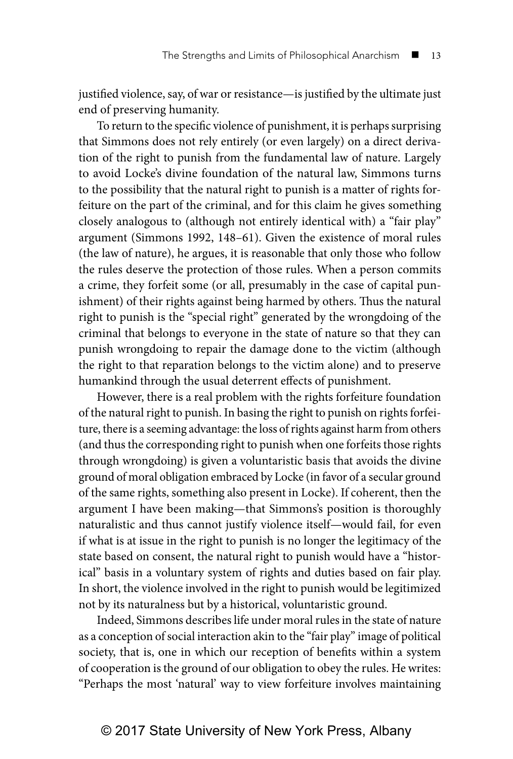justified violence, say, of war or resistance—is justified by the ultimate just end of preserving humanity.

To return to the specific violence of punishment, it is perhaps surprising that Simmons does not rely entirely (or even largely) on a direct derivation of the right to punish from the fundamental law of nature. Largely to avoid Locke's divine foundation of the natural law, Simmons turns to the possibility that the natural right to punish is a matter of rights forfeiture on the part of the criminal, and for this claim he gives something closely analogous to (although not entirely identical with) a "fair play" argument (Simmons 1992, 148–61). Given the existence of moral rules (the law of nature), he argues, it is reasonable that only those who follow the rules deserve the protection of those rules. When a person commits a crime, they forfeit some (or all, presumably in the case of capital punishment) of their rights against being harmed by others. Thus the natural right to punish is the "special right" generated by the wrongdoing of the criminal that belongs to everyone in the state of nature so that they can punish wrongdoing to repair the damage done to the victim (although the right to that reparation belongs to the victim alone) and to preserve humankind through the usual deterrent effects of punishment.

However, there is a real problem with the rights forfeiture foundation of the natural right to punish. In basing the right to punish on rights forfeiture, there is a seeming advantage: the loss of rights against harm from others (and thus the corresponding right to punish when one forfeits those rights through wrongdoing) is given a voluntaristic basis that avoids the divine ground of moral obligation embraced by Locke (in favor of a secular ground of the same rights, something also present in Locke). If coherent, then the argument I have been making—that Simmons's position is thoroughly naturalistic and thus cannot justify violence itself—would fail, for even if what is at issue in the right to punish is no longer the legitimacy of the state based on consent, the natural right to punish would have a "historical" basis in a voluntary system of rights and duties based on fair play. In short, the violence involved in the right to punish would be legitimized not by its naturalness but by a historical, voluntaristic ground.

Indeed, Simmons describes life under moral rules in the state of nature as a conception of social interaction akin to the "fair play" image of political society, that is, one in which our reception of benefits within a system of cooperation is the ground of our obligation to obey the rules. He writes: "Perhaps the most 'natural' way to view forfeiture involves maintaining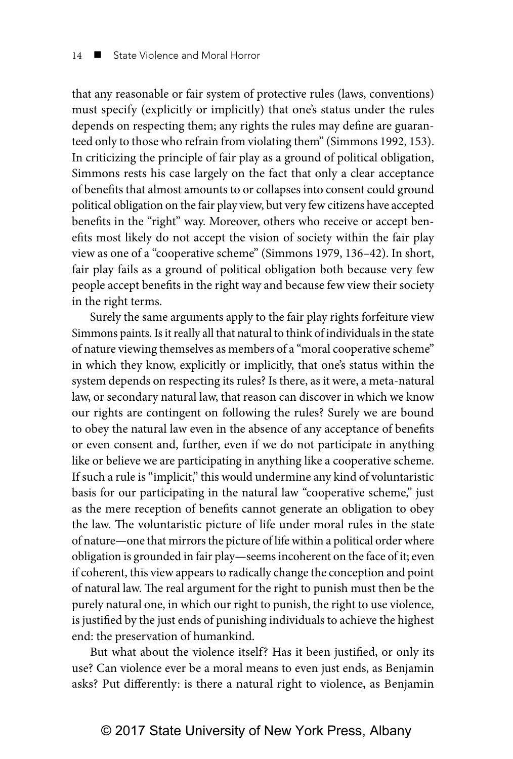that any reasonable or fair system of protective rules (laws, conventions) must specify (explicitly or implicitly) that one's status under the rules depends on respecting them; any rights the rules may define are guaranteed only to those who refrain from violating them" (Simmons 1992, 153). In criticizing the principle of fair play as a ground of political obligation, Simmons rests his case largely on the fact that only a clear acceptance of benefits that almost amounts to or collapses into consent could ground political obligation on the fair play view, but very few citizens have accepted benefits in the "right" way. Moreover, others who receive or accept benefits most likely do not accept the vision of society within the fair play view as one of a "cooperative scheme" (Simmons 1979, 136–42). In short, fair play fails as a ground of political obligation both because very few people accept benefits in the right way and because few view their society in the right terms.

Surely the same arguments apply to the fair play rights forfeiture view Simmons paints. Is it really all that natural to think of individuals in the state of nature viewing themselves as members of a "moral cooperative scheme" in which they know, explicitly or implicitly, that one's status within the system depends on respecting its rules? Is there, as it were, a meta-natural law, or secondary natural law, that reason can discover in which we know our rights are contingent on following the rules? Surely we are bound to obey the natural law even in the absence of any acceptance of benefits or even consent and, further, even if we do not participate in anything like or believe we are participating in anything like a cooperative scheme. If such a rule is "implicit," this would undermine any kind of voluntaristic basis for our participating in the natural law "cooperative scheme," just as the mere reception of benefits cannot generate an obligation to obey the law. The voluntaristic picture of life under moral rules in the state of nature—one that mirrors the picture of life within a political order where obligation is grounded in fair play—seems incoherent on the face of it; even if coherent, this view appears to radically change the conception and point of natural law. The real argument for the right to punish must then be the purely natural one, in which our right to punish, the right to use violence, is justified by the just ends of punishing individuals to achieve the highest end: the preservation of humankind.

But what about the violence itself? Has it been justified, or only its use? Can violence ever be a moral means to even just ends, as Benjamin asks? Put differently: is there a natural right to violence, as Benjamin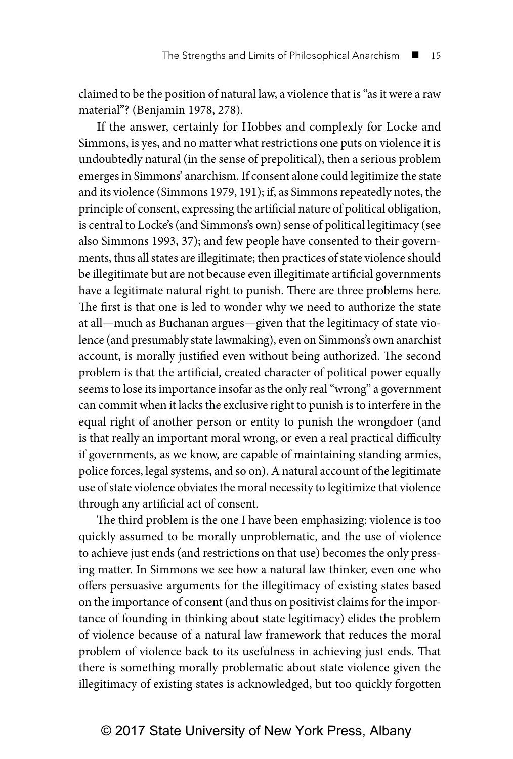claimed to be the position of natural law, a violence that is "as it were a raw material"? (Benjamin 1978, 278).

If the answer, certainly for Hobbes and complexly for Locke and Simmons, is yes, and no matter what restrictions one puts on violence it is undoubtedly natural (in the sense of prepolitical), then a serious problem emerges in Simmons' anarchism. If consent alone could legitimize the state and its violence (Simmons 1979, 191); if, as Simmons repeatedly notes, the principle of consent, expressing the artificial nature of political obligation, is central to Locke's (and Simmons's own) sense of political legitimacy (see also Simmons 1993, 37); and few people have consented to their governments, thus all states are illegitimate; then practices of state violence should be illegitimate but are not because even illegitimate artificial governments have a legitimate natural right to punish. There are three problems here. The first is that one is led to wonder why we need to authorize the state at all—much as Buchanan argues—given that the legitimacy of state violence (and presumably state lawmaking), even on Simmons's own anarchist account, is morally justified even without being authorized. The second problem is that the artificial, created character of political power equally seems to lose its importance insofar as the only real "wrong" a government can commit when it lacks the exclusive right to punish is to interfere in the equal right of another person or entity to punish the wrongdoer (and is that really an important moral wrong, or even a real practical difficulty if governments, as we know, are capable of maintaining standing armies, police forces, legal systems, and so on). A natural account of the legitimate use of state violence obviates the moral necessity to legitimize that violence through any artificial act of consent.

The third problem is the one I have been emphasizing: violence is too quickly assumed to be morally unproblematic, and the use of violence to achieve just ends (and restrictions on that use) becomes the only pressing matter. In Simmons we see how a natural law thinker, even one who offers persuasive arguments for the illegitimacy of existing states based on the importance of consent (and thus on positivist claims for the importance of founding in thinking about state legitimacy) elides the problem of violence because of a natural law framework that reduces the moral problem of violence back to its usefulness in achieving just ends. That there is something morally problematic about state violence given the illegitimacy of existing states is acknowledged, but too quickly forgotten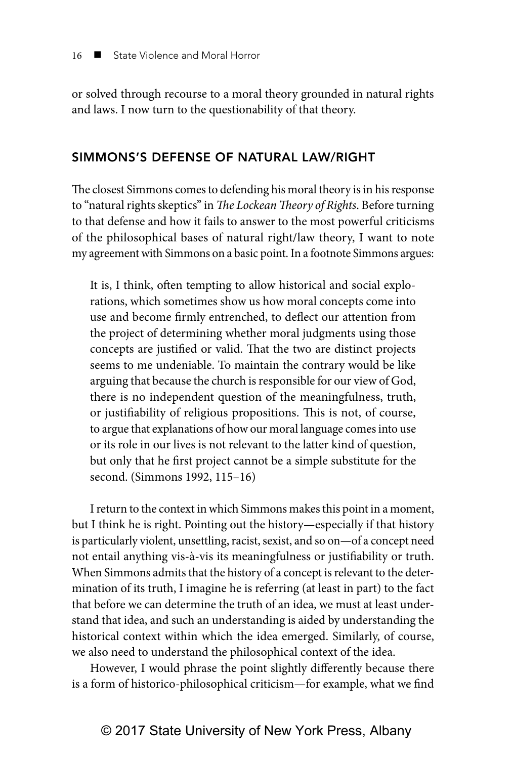or solved through recourse to a moral theory grounded in natural rights and laws. I now turn to the questionability of that theory.

#### SIMMONS'S DEFENSE OF NATURAL LAW/RIGHT

The closest Simmons comes to defending his moral theory is in his response to "natural rights skeptics" in The Lockean Theory of Rights. Before turning to that defense and how it fails to answer to the most powerful criticisms of the philosophical bases of natural right/law theory, I want to note my agreement with Simmons on a basic point. In a footnote Simmons argues:

It is, I think, often tempting to allow historical and social explorations, which sometimes show us how moral concepts come into use and become firmly entrenched, to deflect our attention from the project of determining whether moral judgments using those concepts are justified or valid. That the two are distinct projects seems to me undeniable. To maintain the contrary would be like arguing that because the church is responsible for our view of God, there is no independent question of the meaningfulness, truth, or justifiability of religious propositions. This is not, of course, to argue that explanations of how our moral language comes into use or its role in our lives is not relevant to the latter kind of question, but only that he first project cannot be a simple substitute for the second. (Simmons 1992, 115–16)

I return to the context in which Simmons makes this point in a moment, but I think he is right. Pointing out the history—especially if that history is particularly violent, unsettling, racist, sexist, and so on—of a concept need not entail anything vis-à-vis its meaningfulness or justifiability or truth. When Simmons admits that the history of a concept is relevant to the determination of its truth, I imagine he is referring (at least in part) to the fact that before we can determine the truth of an idea, we must at least understand that idea, and such an understanding is aided by understanding the historical context within which the idea emerged. Similarly, of course, we also need to understand the philosophical context of the idea.

However, I would phrase the point slightly differently because there is a form of historico-philosophical criticism—for example, what we find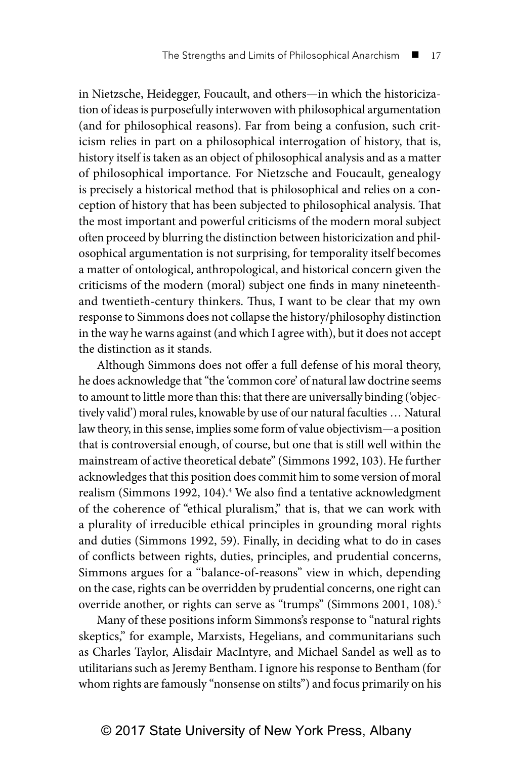in Nietzsche, Heidegger, Foucault, and others—in which the historicization of ideas is purposefully interwoven with philosophical argumentation (and for philosophical reasons). Far from being a confusion, such criticism relies in part on a philosophical interrogation of history, that is, history itself is taken as an object of philosophical analysis and as a matter of philosophical importance. For Nietzsche and Foucault, genealogy is precisely a historical method that is philosophical and relies on a conception of history that has been subjected to philosophical analysis. That the most important and powerful criticisms of the modern moral subject often proceed by blurring the distinction between historicization and philosophical argumentation is not surprising, for temporality itself becomes a matter of ontological, anthropological, and historical concern given the criticisms of the modern (moral) subject one finds in many nineteenthand twentieth-century thinkers. Thus, I want to be clear that my own response to Simmons does not collapse the history/philosophy distinction in the way he warns against (and which I agree with), but it does not accept the distinction as it stands.

Although Simmons does not offer a full defense of his moral theory, he does acknowledge that "the 'common core' of natural law doctrine seems to amount to little more than this: that there are universally binding ('objectively valid') moral rules, knowable by use of our natural faculties … Natural law theory, in this sense, implies some form of value objectivism—a position that is controversial enough, of course, but one that is still well within the mainstream of active theoretical debate" (Simmons 1992, 103). He further acknowledges that this position does commit him to some version of moral realism (Simmons 1992, 104).<sup>4</sup> We also find a tentative acknowledgment of the coherence of "ethical pluralism," that is, that we can work with a plurality of irreducible ethical principles in grounding moral rights and duties (Simmons 1992, 59). Finally, in deciding what to do in cases of conflicts between rights, duties, principles, and prudential concerns, Simmons argues for a "balance-of-reasons" view in which, depending on the case, rights can be overridden by prudential concerns, one right can override another, or rights can serve as "trumps" (Simmons 2001, 108).<sup>5</sup>

Many of these positions inform Simmons's response to "natural rights skeptics," for example, Marxists, Hegelians, and communitarians such as Charles Taylor, Alisdair MacIntyre, and Michael Sandel as well as to utilitarians such as Jeremy Bentham. I ignore his response to Bentham (for whom rights are famously "nonsense on stilts") and focus primarily on his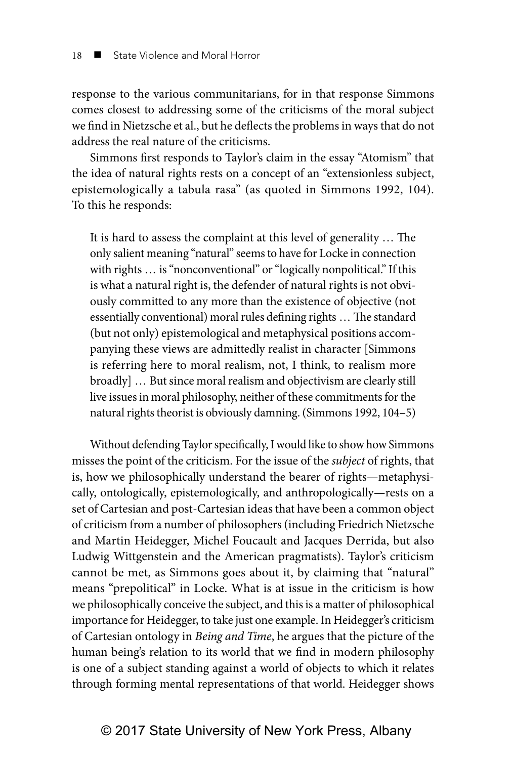response to the various communitarians, for in that response Simmons comes closest to addressing some of the criticisms of the moral subject we find in Nietzsche et al., but he deflects the problems in ways that do not address the real nature of the criticisms.

Simmons first responds to Taylor's claim in the essay "Atomism" that the idea of natural rights rests on a concept of an "extensionless subject, epistemologically a tabula rasa" (as quoted in Simmons 1992, 104). To this he responds:

It is hard to assess the complaint at this level of generality … The only salient meaning "natural" seems to have for Locke in connection with rights … is "nonconventional" or "logically nonpolitical." If this is what a natural right is, the defender of natural rights is not obviously committed to any more than the existence of objective (not essentially conventional) moral rules defining rights … The standard (but not only) epistemological and metaphysical positions accompanying these views are admittedly realist in character [Simmons is referring here to moral realism, not, I think, to realism more broadly] … But since moral realism and objectivism are clearly still live issues in moral philosophy, neither of these commitments for the natural rights theorist is obviously damning. (Simmons 1992, 104–5)

Without defending Taylor specifically, I would like to show how Simmons misses the point of the criticism. For the issue of the *subject* of rights, that is, how we philosophically understand the bearer of rights—metaphysically, ontologically, epistemologically, and anthropologically—rests on a set of Cartesian and post-Cartesian ideas that have been a common object of criticism from a number of philosophers (including Friedrich Nietzsche and Martin Heidegger, Michel Foucault and Jacques Derrida, but also Ludwig Wittgenstein and the American pragmatists). Taylor's criticism cannot be met, as Simmons goes about it, by claiming that "natural" means "prepolitical" in Locke. What is at issue in the criticism is how we philosophically conceive the subject, and this is a matter of philosophical importance for Heidegger, to take just one example. In Heidegger's criticism of Cartesian ontology in Being and Time, he argues that the picture of the human being's relation to its world that we find in modern philosophy is one of a subject standing against a world of objects to which it relates through forming mental representations of that world. Heidegger shows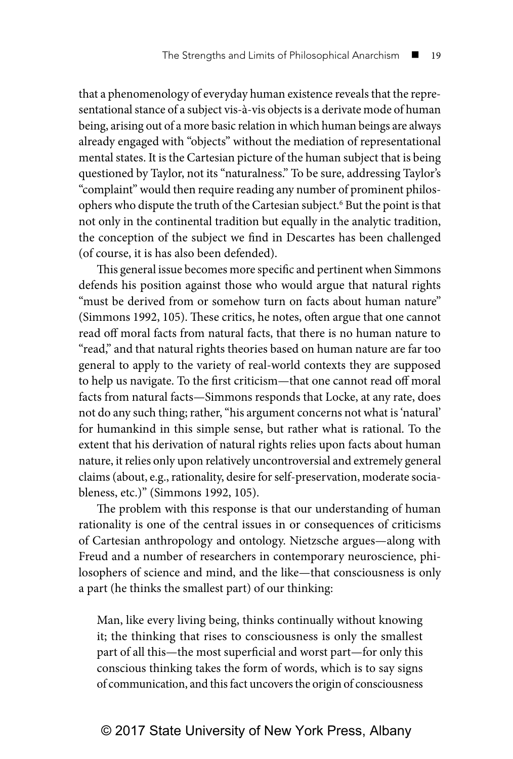that a phenomenology of everyday human existence reveals that the representational stance of a subject vis-à-vis objects is a derivate mode of human being, arising out of a more basic relation in which human beings are always already engaged with "objects" without the mediation of representational mental states. It is the Cartesian picture of the human subject that is being questioned by Taylor, not its "naturalness." To be sure, addressing Taylor's "complaint" would then require reading any number of prominent philosophers who dispute the truth of the Cartesian subject.<sup>6</sup> But the point is that not only in the continental tradition but equally in the analytic tradition, the conception of the subject we find in Descartes has been challenged (of course, it is has also been defended).

This general issue becomes more specific and pertinent when Simmons defends his position against those who would argue that natural rights "must be derived from or somehow turn on facts about human nature" (Simmons 1992, 105). These critics, he notes, often argue that one cannot read off moral facts from natural facts, that there is no human nature to "read," and that natural rights theories based on human nature are far too general to apply to the variety of real-world contexts they are supposed to help us navigate. To the first criticism—that one cannot read off moral facts from natural facts—Simmons responds that Locke, at any rate, does not do any such thing; rather, "his argument concerns not what is 'natural' for humankind in this simple sense, but rather what is rational. To the extent that his derivation of natural rights relies upon facts about human nature, it relies only upon relatively uncontroversial and extremely general claims (about, e.g., rationality, desire for self-preservation, moderate sociableness, etc.)" (Simmons 1992, 105).

The problem with this response is that our understanding of human rationality is one of the central issues in or consequences of criticisms of Cartesian anthropology and ontology. Nietzsche argues—along with Freud and a number of researchers in contemporary neuroscience, philosophers of science and mind, and the like—that consciousness is only a part (he thinks the smallest part) of our thinking:

Man, like every living being, thinks continually without knowing it; the thinking that rises to consciousness is only the smallest part of all this—the most superficial and worst part—for only this conscious thinking takes the form of words, which is to say signs of communication, and this fact uncovers the origin of consciousness